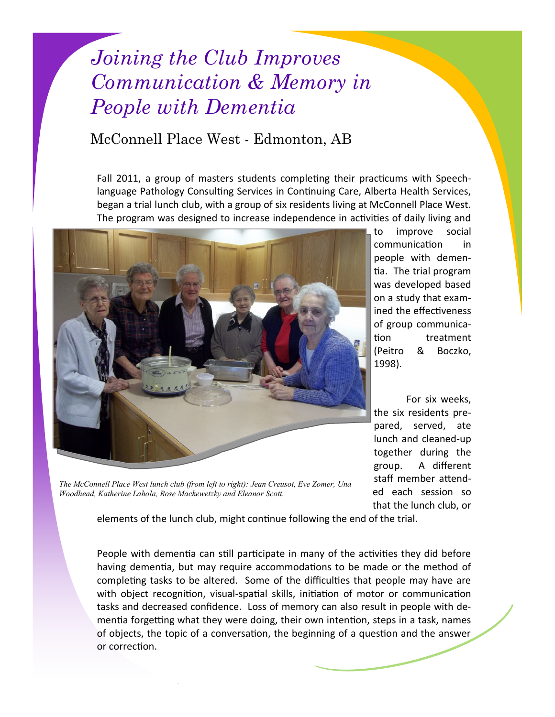## *Joining the Club Improves Communication & Memory in People with Dementia*

## McConnell Place West - Edmonton, AB

Fall 2011, a group of masters students completing their practicums with Speechlanguage Pathology Consulting Services in Continuing Care, Alberta Health Services, began a trial lunch club, with a group of six residents living at McConnell Place West. The program was designed to increase independence in activities of daily living and



to improve social communication in people with dementia. The trial program was developed based on a study that examined the effectiveness of group communication treatment (Peitro & Boczko, 1998).

For six weeks, the six residents prepared, served, ate lunch and cleaned-up together during the group. A different staff member attended each session so that the lunch club, or

*The McConnell Place West lunch club (from left to right): Jean Creusot, Eve Zomer, Una Woodhead, Katherine Lahola, Rose Mackewetzky and Eleanor Scott.*

elements of the lunch club, might continue following the end of the trial.

People with dementia can still participate in many of the activities they did before having dementia, but may require accommodations to be made or the method of completing tasks to be altered. Some of the difficulties that people may have are with object recognition, visual-spatial skills, initiation of motor or communication tasks and decreased confidence. Loss of memory can also result in people with dementia forgetting what they were doing, their own intention, steps in a task, names of objects, the topic of a conversation, the beginning of a question and the answer or correction.